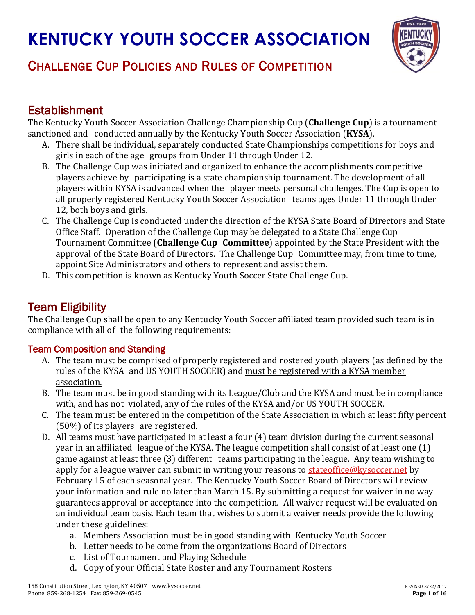

## **Establishment**

The Kentucky Youth Soccer Association Challenge Championship Cup (**Challenge Cup**) is a tournament sanctioned and conducted annually by the Kentucky Youth Soccer Association (**KYSA**).

- A. There shall be individual, separately conducted State Championships competitions for boys and girls in each of the age groups from Under 11 through Under 12.
- B. The Challenge Cup was initiated and organized to enhance the accomplishments competitive players achieve by participating is a state championship tournament. The development of all players within KYSA is advanced when the player meets personal challenges. The Cup is open to all properly registered Kentucky Youth Soccer Association teams ages Under 11 through Under 12, both boys and girls.
- C. The Challenge Cup is conducted under the direction of the KYSA State Board of Directors and State Office Staff. Operation of the Challenge Cup may be delegated to a State Challenge Cup Tournament Committee (**Challenge Cup Committee**) appointed by the State President with the approval of the State Board of Directors. The Challenge Cup Committee may, from time to time, appoint Site Administrators and others to represent and assist them.
- D. This competition is known as Kentucky Youth Soccer State Challenge Cup.

## Team Eligibility

The Challenge Cup shall be open to any Kentucky Youth Soccer affiliated team provided such team is in compliance with all of the following requirements:

### Team Composition and Standing

- A. The team must be comprised of properly registered and rostered youth players (as defined by the rules of the KYSA and US YOUTH SOCCER) and must be registered with a KYSA member association.
- B. The team must be in good standing with its League/Club and the KYSA and must be in compliance with, and has not violated, any of the rules of the KYSA and/or US YOUTH SOCCER.
- C. The team must be entered in the competition of the State Association in which at least fifty percent (50%) of its players are registered.
- D. All teams must have participated in at least a four (4) team division during the current seasonal year in an affiliated league of the KYSA. The league competition shall consist of at least one (1) game against at least three (3) different teams participating in the league. Any team wishing to apply for a league waiver can submit in writing your reasons to [stateoffice@kysoccer.net](mailto:stateoffice@kysoccer.net) by February 15 of each seasonal year. The Kentucky Youth Soccer Board of Directors will review your information and rule no later than March 15. By submitting a request for waiver in no way guarantees approval or acceptance into the competition. All waiver request will be evaluated on an individual team basis. Each team that wishes to submit a waiver needs provide the following under these guidelines:
	- a. Members Association must be in good standing with Kentucky Youth Soccer
	- b. Letter needs to be come from the organizations Board of Directors
	- c. List of Tournament and Playing Schedule
	- d. Copy of your Official State Roster and any Tournament Rosters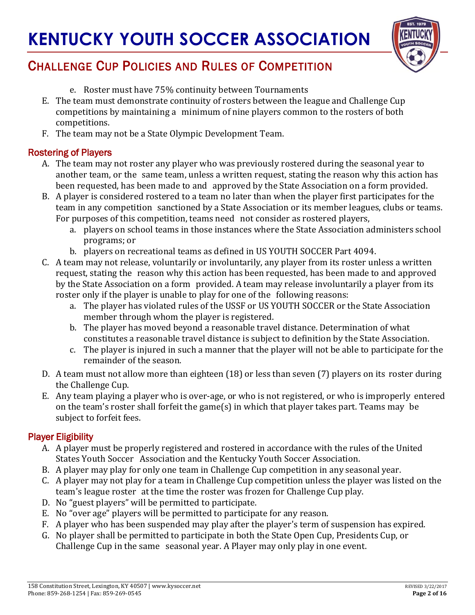

## CHALLENGE CUP POLICIES AND RULES OF COMPETITION

- e. Roster must have 75% continuity between Tournaments
- E. The team must demonstrate continuity of rosters between the league and Challenge Cup competitions by maintaining a minimum of nine players common to the rosters of both competitions.
- F. The team may not be a State Olympic Development Team.

#### Rostering of Players

- A. The team may not roster any player who was previously rostered during the seasonal year to another team, or the same team, unless a written request, stating the reason why this action has been requested, has been made to and approved by the State Association on a form provided.
- B. A player is considered rostered to a team no later than when the player first participates for the team in any competition sanctioned by a State Association or its member leagues, clubs or teams. For purposes of this competition, teams need not consider as rostered players,
	- a. players on school teams in those instances where the State Association administers school programs; or
	- b. players on recreational teams as defined in US YOUTH SOCCER Part 4094.
- C. A team may not release, voluntarily or involuntarily, any player from its roster unless a written request, stating the reason why this action has been requested, has been made to and approved by the State Association on a form provided. A team may release involuntarily a player from its roster only if the player is unable to play for one of the following reasons:
	- a. The player has violated rules of the USSF or US YOUTH SOCCER or the State Association member through whom the player is registered.
	- b. The player has moved beyond a reasonable travel distance. Determination of what constitutes a reasonable travel distance is subject to definition by the State Association.
	- c. The player is injured in such a manner that the player will not be able to participate for the remainder of the season.
- D. A team must not allow more than eighteen (18) or less than seven (7) players on its roster during the Challenge Cup.
- E. Any team playing a player who is over-age, or who is not registered, or who is improperly entered on the team's roster shall forfeit the game(s) in which that player takes part. Teams may be subject to forfeit fees.

### Player Eligibility

- A. A player must be properly registered and rostered in accordance with the rules of the United States Youth Soccer Association and the Kentucky Youth Soccer Association.
- B. A player may play for only one team in Challenge Cup competition in any seasonal year.
- C. A player may not play for a team in Challenge Cup competition unless the player was listed on the team's league roster at the time the roster was frozen for Challenge Cup play.
- D. No "guest players" will be permitted to participate.
- E. No "over age" players will be permitted to participate for any reason.
- F. A player who has been suspended may play after the player's term of suspension has expired.
- G. No player shall be permitted to participate in both the State Open Cup, Presidents Cup, or Challenge Cup in the same seasonal year. A Player may only play in one event.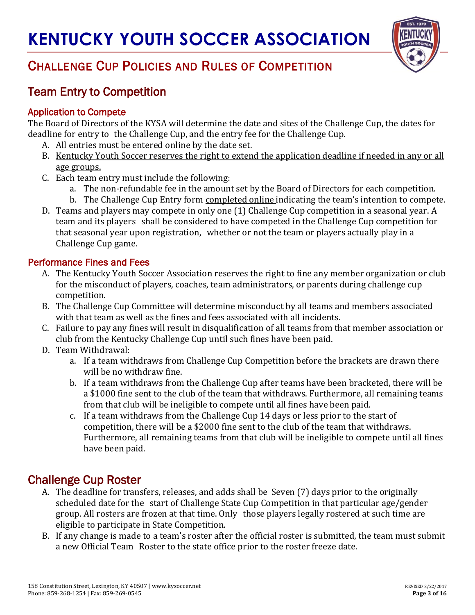

## Team Entry to Competition

### Application to Compete

The Board of Directors of the KYSA will determine the date and sites of the Challenge Cup, the dates for deadline for entry to the Challenge Cup, and the entry fee for the Challenge Cup.

- A. All entries must be entered online by the date set.
- B. Kentucky Youth Soccer reserves the right to extend the application deadline if needed in any or all age groups.
- C. Each team entry must include the following:
	- a. The non-refundable fee in the amount set by the Board of Directors for each competition.
	- b. The Challenge Cup Entry form completed online indicating the team's intention to compete.
- D. Teams and players may compete in only one (1) Challenge Cup competition in a seasonal year. A team and its players shall be considered to have competed in the Challenge Cup competition for that seasonal year upon registration, whether or not the team or players actually play in a Challenge Cup game.

### Performance Fines and Fees

- A. The Kentucky Youth Soccer Association reserves the right to fine any member organization or club for the misconduct of players, coaches, team administrators, or parents during challenge cup competition.
- B. The Challenge Cup Committee will determine misconduct by all teams and members associated with that team as well as the fines and fees associated with all incidents.
- C. Failure to pay any fines will result in disqualification of all teams from that member association or club from the Kentucky Challenge Cup until such fines have been paid.
- D. Team Withdrawal:
	- a. If a team withdraws from Challenge Cup Competition before the brackets are drawn there will be no withdraw fine.
	- b. If a team withdraws from the Challenge Cup after teams have been bracketed, there will be a \$1000 fine sent to the club of the team that withdraws. Furthermore, all remaining teams from that club will be ineligible to compete until all fines have been paid.
	- c. If a team withdraws from the Challenge Cup 14 days or less prior to the start of competition, there will be a \$2000 fine sent to the club of the team that withdraws. Furthermore, all remaining teams from that club will be ineligible to compete until all fines have been paid.

## Challenge Cup Roster

- A. The deadline for transfers, releases, and adds shall be Seven (7) days prior to the originally scheduled date for the start of Challenge State Cup Competition in that particular age/gender group. All rosters are frozen at that time. Only those players legally rostered at such time are eligible to participate in State Competition.
- B. If any change is made to a team's roster after the official roster is submitted, the team must submit a new Official Team Roster to the state office prior to the roster freeze date.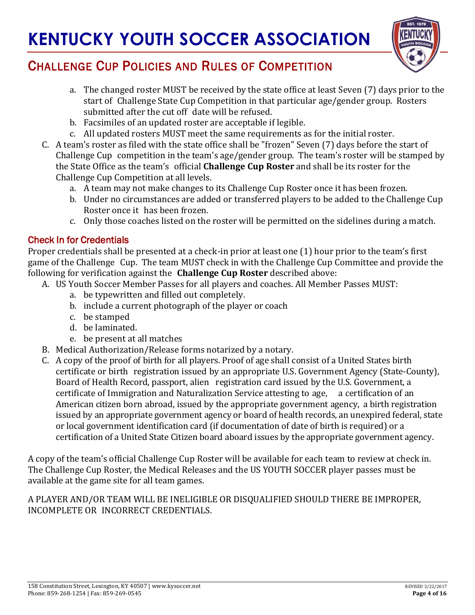

## CHALLENGE CUP POLICIES AND RULES OF COMPETITION

- a. The changed roster MUST be received by the state office at least Seven (7) days prior to the start of Challenge State Cup Competition in that particular age/gender group. Rosters submitted after the cut off date will be refused.
- b. Facsimiles of an updated roster are acceptable if legible.
- c. All updated rosters MUST meet the same requirements as for the initial roster.
- C. A team's roster as filed with the state office shall be "frozen" Seven (7) days before the start of Challenge Cup competition in the team's age/gender group. The team's roster will be stamped by the State Office as the team's official **Challenge Cup Roster** and shall be its roster for the Challenge Cup Competition at all levels.
	- a. A team may not make changes to its Challenge Cup Roster once it has been frozen.
	- b. Under no circumstances are added or transferred players to be added to the Challenge Cup Roster once it has been frozen.
	- c. Only those coaches listed on the roster will be permitted on the sidelines during a match.

#### Check In for Credentials

Proper credentials shall be presented at a check-in prior at least one (1) hour prior to the team's first game of the Challenge Cup. The team MUST check in with the Challenge Cup Committee and provide the following for verification against the **Challenge Cup Roster** described above:

- A. US Youth Soccer Member Passes for all players and coaches. All Member Passes MUST:
	- a. be typewritten and filled out completely.
	- b. include a current photograph of the player or coach
	- c. be stamped
	- d. be laminated.
	- e. be present at all matches
- B. Medical Authorization/Release forms notarized by a notary.
- C. A copy of the proof of birth for all players. Proof of age shall consist of a United States birth certificate or birth registration issued by an appropriate U.S. Government Agency (State-County), Board of Health Record, passport, alien registration card issued by the U.S. Government, a certificate of Immigration and Naturalization Service attesting to age, a certification of an American citizen born abroad, issued by the appropriate government agency, a birth registration issued by an appropriate government agency or board of health records, an unexpired federal, state or local government identification card (if documentation of date of birth is required) or a certification of a United State Citizen board aboard issues by the appropriate government agency.

A copy of the team's official Challenge Cup Roster will be available for each team to review at check in. The Challenge Cup Roster, the Medical Releases and the US YOUTH SOCCER player passes must be available at the game site for all team games.

A PLAYER AND/OR TEAM WILL BE INELIGIBLE OR DISQUALIFIED SHOULD THERE BE IMPROPER, INCOMPLETE OR INCORRECT CREDENTIALS.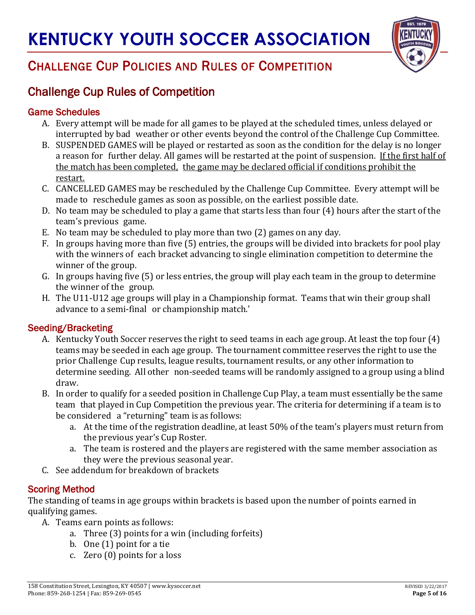

## CHALLENGE CUP POLICIES AND RULES OF COMPETITION

## Challenge Cup Rules of Competition

#### Game Schedules

- A. Every attempt will be made for all games to be played at the scheduled times, unless delayed or interrupted by bad weather or other events beyond the control of the Challenge Cup Committee.
- B. SUSPENDED GAMES will be played or restarted as soon as the condition for the delay is no longer a reason for further delay. All games will be restarted at the point of suspension. If the first half of the match has been completed, the game may be declared official if conditions prohibit the restart.
- C. CANCELLED GAMES may be rescheduled by the Challenge Cup Committee. Every attempt will be made to reschedule games as soon as possible, on the earliest possible date.
- D. No team may be scheduled to play a game that starts less than four (4) hours after the start of the team's previous game.
- E. No team may be scheduled to play more than two (2) games on any day.
- F. In groups having more than five (5) entries, the groups will be divided into brackets for pool play with the winners of each bracket advancing to single elimination competition to determine the winner of the group.
- G. In groups having five (5) or less entries, the group will play each team in the group to determine the winner of the group.
- H. The U11-U12 age groups will play in a Championship format. Teams that win their group shall advance to a semi-final or championship match.'

### Seeding/Bracketing

- A. Kentucky Youth Soccer reserves the right to seed teams in each age group. At least the top four (4) teams may be seeded in each age group. The tournament committee reserves the right to use the prior Challenge Cup results, league results, tournament results, or any other information to determine seeding. All other non-seeded teams will be randomly assigned to a group using a blind draw.
- B. In order to qualify for a seeded position in Challenge Cup Play, a team must essentially be the same team that played in Cup Competition the previous year. The criteria for determining if a team is to be considered a "returning" team is as follows:
	- a. At the time of the registration deadline, at least 50% of the team's players must return from the previous year's Cup Roster.
	- a. The team is rostered and the players are registered with the same member association as they were the previous seasonal year.
- C. See addendum for breakdown of brackets

### Scoring Method

The standing of teams in age groups within brackets is based upon the number of points earned in qualifying games.

A. Teams earn points as follows:

- a. Three (3) points for a win (including forfeits)
- b. One (1) point for a tie
- c. Zero (0) points for a loss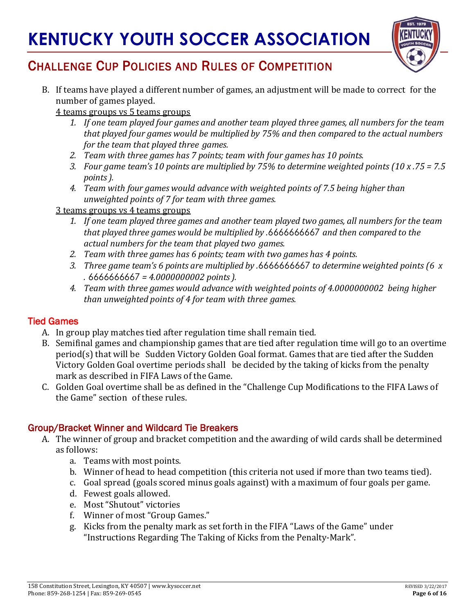

## CHALLENGE CUP POLICIES AND RULES OF COMPETITION

B. If teams have played a different number of games, an adjustment will be made to correct for the number of games played.

4 teams groups vs 5 teams groups

- *1. If one team played four games and another team played three games, all numbers for the team that played four games would be multiplied by 75% and then compared to the actual numbers for the team that played three games.*
- *2. Team with three games has 7 points; team with four games has 10 points.*
- *3. Four game team's 10 points are multiplied by 75% to determine weighted points (10 x .75 = 7.5 points).*
- *4. Team with four games would advance with weighted points of 7.5 being higher than unweighted points of 7 for team with three games.*

#### 3 teams groups vs 4 teams groups

- *1. If one team played three games and another team played two games, all numbers for the team that played three games would be multiplied by .*6666666667 *and then compared to the actual numbers for the team that played two games.*
- *2. Team with three games has 6 points; team with two games has 4 points.*
- *3. Three game team's 6 points are multiplied by .*6666666667 *to determine weighted points (6 x .* 6666666667 *= 4.0000000002 points).*
- *4. Team with three games would advance with weighted points of 4.0000000002 being higher than unweighted points of 4 for team with three games.*

#### Tied Games

- A. In group play matches tied after regulation time shall remain tied.
- B. Semifinal games and championship games that are tied after regulation time will go to an overtime period(s) that will be Sudden Victory Golden Goal format. Games that are tied after the Sudden Victory Golden Goal overtime periods shall be decided by the taking of kicks from the penalty mark as described in FIFA Laws of the Game.
- C. Golden Goal overtime shall be as defined in the "Challenge Cup Modifications to the FIFA Laws of the Game" section of these rules.

### Group/Bracket Winner and Wildcard Tie Breakers

- A. The winner of group and bracket competition and the awarding of wild cards shall be determined as follows:
	- a. Teams with most points.
	- b. Winner of head to head competition (this criteria not used if more than two teams tied).
	- c. Goal spread (goals scored minus goals against) with a maximum of four goals per game.
	- d. Fewest goals allowed.
	- e. Most "Shutout" victories
	- f. Winner of most "Group Games."
	- g. Kicks from the penalty mark as set forth in the FIFA "Laws of the Game" under "Instructions Regarding The Taking of Kicks from the Penalty-Mark".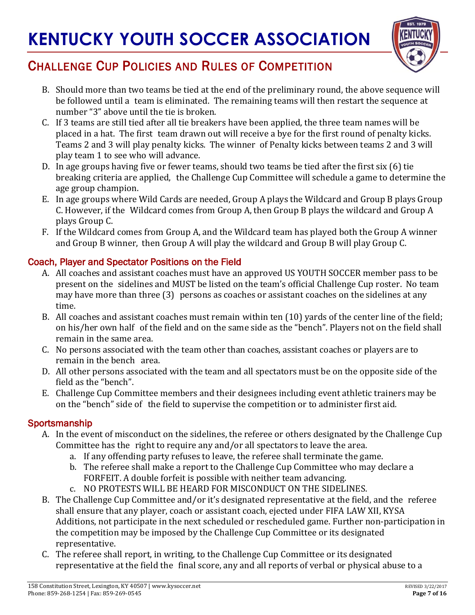

## CHALLENGE CUP POLICIES AND RULES OF COMPETITION

- B. Should more than two teams be tied at the end of the preliminary round, the above sequence will be followed until a team is eliminated. The remaining teams will then restart the sequence at number "3" above until the tie is broken.
- C. If 3 teams are still tied after all tie breakers have been applied, the three team names will be placed in a hat. The first team drawn out will receive a bye for the first round of penalty kicks. Teams 2 and 3 will play penalty kicks. The winner of Penalty kicks between teams 2 and 3 will play team 1 to see who will advance.
- D. In age groups having five or fewer teams, should two teams be tied after the first six (6) tie breaking criteria are applied, the Challenge Cup Committee will schedule a game to determine the age group champion.
- E. In age groups where Wild Cards are needed, Group A plays the Wildcard and Group B plays Group C. However, if the Wildcard comes from Group A, then Group B plays the wildcard and Group A plays Group C.
- F. If the Wildcard comes from Group A, and the Wildcard team has played both the Group A winner and Group B winner, then Group A will play the wildcard and Group B will play Group C.

### Coach, Player and Spectator Positions on the Field

- A. All coaches and assistant coaches must have an approved US YOUTH SOCCER member pass to be present on the sidelines and MUST be listed on the team's official Challenge Cup roster. No team may have more than three (3) persons as coaches or assistant coaches on the sidelines at any time.
- B. All coaches and assistant coaches must remain within ten (10) yards of the center line of the field; on his/her own half of the field and on the same side as the "bench". Players not on the field shall remain in the same area.
- C. No persons associated with the team other than coaches, assistant coaches or players are to remain in the bench area.
- D. All other persons associated with the team and all spectators must be on the opposite side of the field as the "bench".
- E. Challenge Cup Committee members and their designees including event athletic trainers may be on the "bench" side of the field to supervise the competition or to administer first aid.

#### **Sportsmanship**

- A. In the event of misconduct on the sidelines, the referee or others designated by the Challenge Cup Committee has the right to require any and/or all spectators to leave the area.
	- a. If any offending party refuses to leave, the referee shall terminate the game.
	- b. The referee shall make a report to the Challenge Cup Committee who may declare a FORFEIT. A double forfeit is possible with neither team advancing.
	- c. NO PROTESTS WILL BE HEARD FOR MISCONDUCT ON THE SIDELINES.
- B. The Challenge Cup Committee and/or it's designated representative at the field, and the referee shall ensure that any player, coach or assistant coach, ejected under FIFA LAW XII, KYSA Additions, not participate in the next scheduled or rescheduled game. Further non-participation in the competition may be imposed by the Challenge Cup Committee or its designated representative.
- C. The referee shall report, in writing, to the Challenge Cup Committee or its designated representative at the field the final score, any and all reports of verbal or physical abuse to a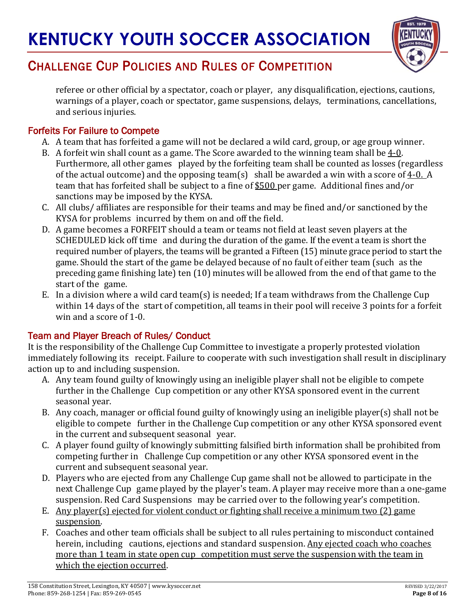

referee or other official by a spectator, coach or player, any disqualification, ejections, cautions, warnings of a player, coach or spectator, game suspensions, delays, terminations, cancellations, and serious injuries.

### Forfeits For Failure to Compete

- A. A team that has forfeited a game will not be declared a wild card, group, or age group winner.
- B. A forfeit win shall count as a game. The Score awarded to the winning team shall be  $4-0$ . Furthermore, all other games played by the forfeiting team shall be counted as losses (regardless of the actual outcome) and the opposing team(s) shall be awarded a win with a score of  $4-0$ . A team that has forfeited shall be subject to a fine of \$500 per game. Additional fines and/or sanctions may be imposed by the KYSA.
- C. All clubs/ affiliates are responsible for their teams and may be fined and/or sanctioned by the KYSA for problems incurred by them on and off the field.
- D. A game becomes a FORFEIT should a team or teams not field at least seven players at the SCHEDULED kick off time and during the duration of the game. If the event a team is short the required number of players, the teams will be granted a Fifteen (15) minute grace period to start the game. Should the start of the game be delayed because of no fault of either team (such as the preceding game finishing late) ten (10) minutes will be allowed from the end of that game to the start of the game.
- E. In a division where a wild card team(s) is needed; If a team withdraws from the Challenge Cup within 14 days of the start of competition, all teams in their pool will receive 3 points for a forfeit win and a score of 1-0.

### Team and Player Breach of Rules/ Conduct

It is the responsibility of the Challenge Cup Committee to investigate a properly protested violation immediately following its receipt. Failure to cooperate with such investigation shall result in disciplinary action up to and including suspension.

- A. Any team found guilty of knowingly using an ineligible player shall not be eligible to compete further in the Challenge Cup competition or any other KYSA sponsored event in the current seasonal year.
- B. Any coach, manager or official found guilty of knowingly using an ineligible player(s) shall not be eligible to compete further in the Challenge Cup competition or any other KYSA sponsored event in the current and subsequent seasonal year.
- C. A player found guilty of knowingly submitting falsified birth information shall be prohibited from competing further in Challenge Cup competition or any other KYSA sponsored event in the current and subsequent seasonal year.
- D. Players who are ejected from any Challenge Cup game shall not be allowed to participate in the next Challenge Cup game played by the player's team. A player may receive more than a one-game suspension. Red Card Suspensions may be carried over to the following year's competition.
- E. Any player(s) ejected for violent conduct or fighting shall receive a minimum two (2) game suspension.
- F. Coaches and other team officials shall be subject to all rules pertaining to misconduct contained herein, including cautions, ejections and standard suspension. Any ejected coach who coaches more than 1 team in state open cup competition must serve the suspension with the team in which the ejection occurred.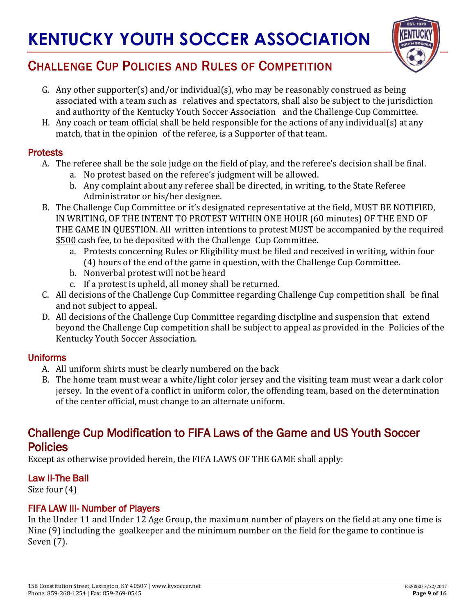

## CHALLENGE CUP POLICIES AND RULES OF COMPETITION

- G. Any other supporter(s) and/or individual(s), who may be reasonably construed as being associated with a team such as relatives and spectators, shall also be subject to the jurisdiction and authority of the Kentucky Youth Soccer Association and the Challenge Cup Committee.
- H. Any coach or team official shall be held responsible for the actions of any individual(s) at any match, that in the opinion of the referee, is a Supporter of that team.

#### **Protests**

- A. The referee shall be the sole judge on the field of play, and the referee's decision shall be final.
	- a. No protest based on the referee's judgment will be allowed.
	- b. Any complaint about any referee shall be directed, in writing, to the State Referee Administrator or his/her designee.
- B. The Challenge Cup Committee or it's designated representative at the field, MUST BE NOTIFIED, IN WRITING, OF THE INTENT TO PROTEST WITHIN ONE HOUR (60 minutes) OF THE END OF THE GAME IN QUESTION. All written intentions to protest MUST be accompanied by the required \$500 cash fee, to be deposited with the Challenge Cup Committee.
	- a. Protests concerning Rules or Eligibility must be filed and received in writing, within four (4) hours of the end of the game in question, with the Challenge Cup Committee.
	- b. Nonverbal protest will not be heard
	- c. If a protest is upheld, all money shall be returned.
- C. All decisions of the Challenge Cup Committee regarding Challenge Cup competition shall be final and not subject to appeal.
- D. All decisions of the Challenge Cup Committee regarding discipline and suspension that extend beyond the Challenge Cup competition shall be subject to appeal as provided in the Policies of the Kentucky Youth Soccer Association.

### Uniforms

- A. All uniform shirts must be clearly numbered on the back
- B. The home team must wear a white/light color jersey and the visiting team must wear a dark color jersey. In the event of a conflict in uniform color, the offending team, based on the determination of the center official, must change to an alternate uniform.

## Challenge Cup Modification to FIFA Laws of the Game and US Youth Soccer Policies

Except as otherwise provided herein, the FIFA LAWS OF THE GAME shall apply:

### Law II-The Ball

Size four (4)

### FIFA LAW III- Number of Players

In the Under 11 and Under 12 Age Group, the maximum number of players on the field at any one time is Nine (9) including the goalkeeper and the minimum number on the field for the game to continue is Seven (7).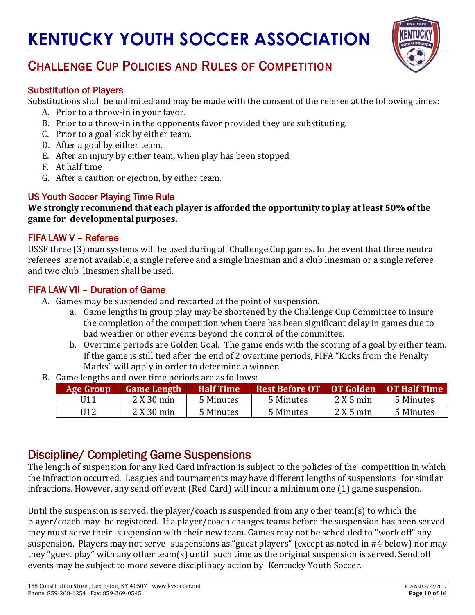

## CHALLENGE CUP POLICIES AND RULES OF COMPETITION

#### Substitution of Players

Substitutions shall be unlimited and may be made with the consent of the referee at the following times:

- A. Prior to a throw-in in your favor.
- B. Prior to a throw-in in the opponents favor provided they are substituting.
- C. Prior to a goal kick by either team.
- D. After a goal by either team.
- E. After an injury by either team, when play has been stopped
- F. At half time
- G. After a caution or ejection, by either team.

#### US Youth Soccer Playing Time Rule

**We strongly recommend that each player is afforded the opportunity to play at least 50% of the game for developmentalpurposes.**

#### FIFA LAW V – Referee

USSF three (3) man systems will be used during all Challenge Cup games. In the event that three neutral referees are not available, a single referee and a single linesman and a club linesman or a single referee and two club linesmen shall be used.

#### FIFA LAW VII – Duration of Game

- A. Games may be suspended and restarted at the point of suspension.
	- a. Game lengths in group play may be shortened by the Challenge Cup Committee to insure the completion of the competition when there has been significant delay in games due to bad weather or other events beyond the control of the committee.
	- b. Overtime periods are Golden Goal. The game ends with the scoring of a goal by either team. If the game is still tied after the end of 2 overtime periods, FIFA "Kicks from the Penalty Marks" will apply in order to determine a winner.
- B. Game lengths and over time periods are as follows:

| Age Group | <b>Game Length</b> | <b>Half Time</b> | <b>Rest Before OT</b> | <b>OT Golden</b> | <b>OT Half Time</b> |
|-----------|--------------------|------------------|-----------------------|------------------|---------------------|
| U11       | 2 X 30 min         | 5 Minutes        | 5 Minutes             | $2X5$ min        | 5 Minutes           |
| U12       | 2 X 30 min         | 5 Minutes        | 5 Minutes             | $2X5$ min        | 5 Minutes           |

## Discipline/ Completing Game Suspensions

The length of suspension for any Red Card infraction is subject to the policies of the competition in which the infraction occurred. Leagues and tournaments may have different lengths of suspensions for similar infractions. However, any send off event (Red Card) will incur a minimum one (1) game suspension.

Until the suspension is served, the player/coach is suspended from any other team(s) to which the player/coach may be registered. If a player/coach changes teams before the suspension has been served they must serve their suspension with their new team. Games may not be scheduled to "work off" any suspension. Players may not serve suspensions as "guest players" (except as noted in #4 below) nor may they "guest play" with any other team(s) until such time as the original suspension is served. Send off events may be subject to more severe disciplinary action by Kentucky Youth Soccer.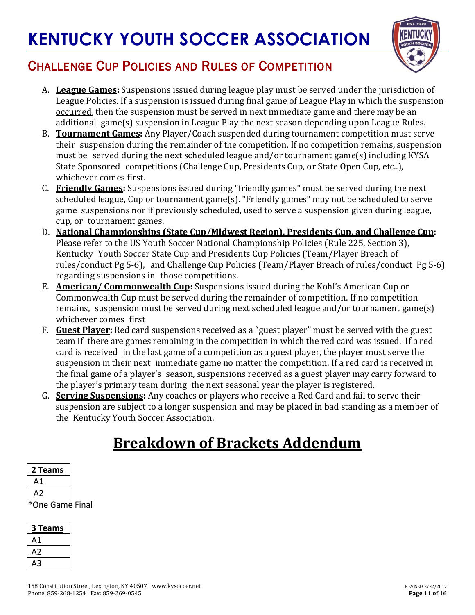

## CHALLENGE CUP POLICIES AND RULES OF COMPETITION

- A. **League Games:** Suspensions issued during league play must be served under the jurisdiction of League Policies. If a suspension is issued during final game of League Play in which the suspension occurred, then the suspension must be served in next immediate game and there may be an additional game(s) suspension in League Play the next season depending upon League Rules.
- B. **Tournament Games:** Any Player/Coach suspended during tournament competition must serve their suspension during the remainder of the competition. If no competition remains, suspension must be served during the next scheduled league and/or tournament game(s) including KYSA State Sponsored competitions (Challenge Cup, Presidents Cup, or State Open Cup, etc..), whichever comes first.
- C. **Friendly Games:** Suspensions issued during "friendly games" must be served during the next scheduled league, Cup or tournament game(s). "Friendly games" may not be scheduled to serve game suspensions nor if previously scheduled, used to serve a suspension given during league, cup, or tournament games.
- D. **National Championships (State Cup/Midwest Region), Presidents Cup, and Challenge Cup:** Please refer to the US Youth Soccer National Championship Policies (Rule 225, Section 3), Kentucky Youth Soccer State Cup and Presidents Cup Policies (Team/Player Breach of rules/conduct Pg 5-6), and Challenge Cup Policies (Team/Player Breach of rules/conduct Pg 5-6) regarding suspensions in those competitions.
- E. **American/ Commonwealth Cup:** Suspensions issued during the Kohl's American Cup or Commonwealth Cup must be served during the remainder of competition. If no competition remains, suspension must be served during next scheduled league and/or tournament game(s) whichever comes first
- F. **Guest Player:** Red card suspensions received as a "guest player" must be served with the guest team if there are games remaining in the competition in which the red card was issued. If a red card is received in the last game of a competition as a guest player, the player must serve the suspension in their next immediate game no matter the competition. If a red card is received in the final game of a player's season, suspensions received as a guest player may carry forward to the player's primary team during the next seasonal year the player is registered.
- G. **Serving Suspensions:** Any coaches or players who receive a Red Card and fail to serve their suspension are subject to a longer suspension and may be placed in bad standing as a member of the Kentucky Youth Soccer Association.

## **Breakdown of Brackets Addendum**

| Teams<br>2 |  |
|------------|--|
| А1         |  |
| A2         |  |
|            |  |

\*One Game Final

| 3 Teams |
|---------|
| Α1      |
| A2      |
| дЗ      |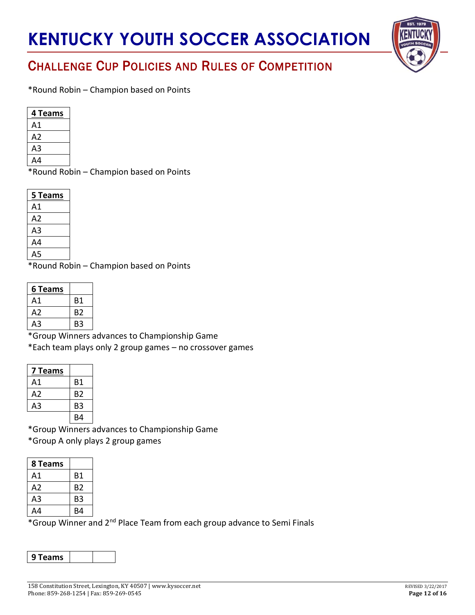

## CHALLENGE CUP POLICIES AND RULES OF COMPETITION

\*Round Robin – Champion based on Points

| 4 Teams |
|---------|
| Α1      |
| Α2      |
| А3      |
| Δ4      |

\*Round Robin – Champion based on Points

| 5 Teams |
|---------|
| Α1      |
| А2      |
| A3      |
| A4      |
| .5<br>Δ |

\*Round Robin – Champion based on Points

| 6 Teams |                |
|---------|----------------|
| Α1      | Β1             |
| A2      | B <sub>2</sub> |
| A3      | B3             |

\*Group Winners advances to Championship Game

\*Each team plays only 2 group games – no crossover games

| 7 Teams        |    |
|----------------|----|
| Α1             | Β1 |
| A2             | B2 |
| A <sub>3</sub> | B3 |
|                | R4 |

\*Group Winners advances to Championship Game \*Group A only plays 2 group games

| 8 Teams        |    |
|----------------|----|
| Α1             | Β1 |
| A2             | B2 |
| A <sub>3</sub> | B3 |
| A4             | R4 |

\*Group Winner and 2<sup>nd</sup> Place Team from each group advance to Semi Finals

| 9 Teams |  |  |
|---------|--|--|
|---------|--|--|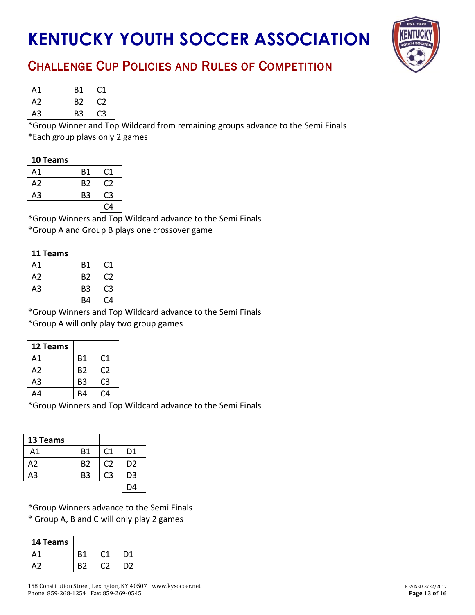

| Α1 | <b>B1</b>      | €Ω |
|----|----------------|----|
| A2 | B <sub>2</sub> |    |
| A3 | B3             |    |

\*Group Winner and Top Wildcard from remaining groups advance to the Semi Finals \*Each group plays only 2 games

| <b>10 Teams</b> |                |                |
|-----------------|----------------|----------------|
| Α1              | <b>B1</b>      | C <sub>1</sub> |
| A2              | B <sub>2</sub> | C2             |
| A3              | B3             | C3             |
|                 |                | C4             |

\*Group Winners and Top Wildcard advance to the Semi Finals \*Group A and Group B plays one crossover game

| 11 Teams |                |                |
|----------|----------------|----------------|
| Α1       | <b>B1</b>      | C <sub>1</sub> |
| A2       | B <sub>2</sub> | C <sub>2</sub> |
| A3       | B <sub>3</sub> | C3             |
|          | R4             | C4             |

\*Group Winners and Top Wildcard advance to the Semi Finals \*Group A will only play two group games

| 12 Teams |                |                |
|----------|----------------|----------------|
| Α1       | <b>B1</b>      | C1             |
| A2       | <b>B2</b>      | C2             |
| A3       | B <sub>3</sub> | C <sub>3</sub> |
| A4       | B4             | C4             |

\*Group Winners and Top Wildcard advance to the Semi Finals

| 13 Teams |                |                |                |
|----------|----------------|----------------|----------------|
| A1       | <b>B1</b>      | C <sub>1</sub> | D1             |
| А2       | B2             | C <sub>2</sub> | D <sub>2</sub> |
| A3       | B <sub>3</sub> | C3             | D3             |
|          |                |                | D4             |

\*Group Winners advance to the Semi Finals

\* Group A, B and C will only play 2 games

| 14 Teams |    |    |
|----------|----|----|
| Α1       | B1 | D1 |
|          | R2 | D2 |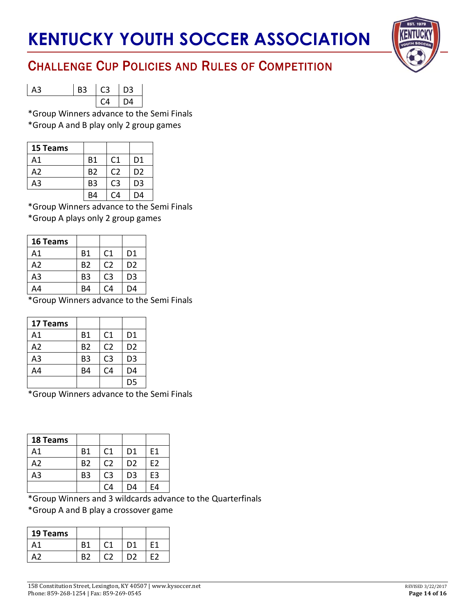

## CHALLENGE CUP POLICIES AND RULES OF COMPETITION

| A3 | <b>B3</b> | $-C3$         | $\vert$ D <sub>3</sub> |
|----|-----------|---------------|------------------------|
|    |           | $\mathcal{C}$ | $\overline{A}$         |

\*Group Winners advance to the Semi Finals \*Group A and B play only 2 group games

| 15 Teams |                |                |                |
|----------|----------------|----------------|----------------|
| А1       | <b>B1</b>      | C <sub>1</sub> | D1             |
| A2       | <b>B2</b>      | C <sub>2</sub> | D <sub>2</sub> |
| A3       | B <sub>3</sub> | C <sub>3</sub> | D3             |
|          | R4             | C4             | D4             |

\*Group Winners advance to the Semi Finals

\*Group A plays only 2 group games

| 16 Teams |                |                |                |
|----------|----------------|----------------|----------------|
| A1       | <b>B1</b>      | C1             | D <sub>1</sub> |
| A2       | <b>B2</b>      | C <sub>2</sub> | D <sub>2</sub> |
| A3       | B <sub>3</sub> | C3             | D <sub>3</sub> |
| A4       | B4             | C4             | D4             |

\*Group Winners advance to the Semi Finals

| 17 Teams       |                |                |                |
|----------------|----------------|----------------|----------------|
| A1             | <b>B1</b>      | C <sub>1</sub> | D1             |
| A <sub>2</sub> | <b>B2</b>      | C <sub>2</sub> | D <sub>2</sub> |
| A3             | B <sub>3</sub> | C <sub>3</sub> | D <sub>3</sub> |
| A4             | B4             | C <sub>4</sub> | D4             |
|                |                |                | D <sub>5</sub> |

\*Group Winners advance to the Semi Finals

| 18 Teams |                |                |                |    |
|----------|----------------|----------------|----------------|----|
| Α1       | <b>B1</b>      | C <sub>1</sub> | D1             | Ε1 |
| A2       | B <sub>2</sub> | C <sub>2</sub> | D <sub>2</sub> | F2 |
| A3       | B <sub>3</sub> | C <sub>3</sub> | D <sub>3</sub> | E3 |
|          |                | $\mathsf{C}4$  | D4             | F4 |

\*Group Winners and 3 wildcards advance to the Quarterfinals

\*Group A and B play a crossover game

| 19 Teams |    |    |  |
|----------|----|----|--|
| 41       | Β1 | D1 |  |
|          | R7 |    |  |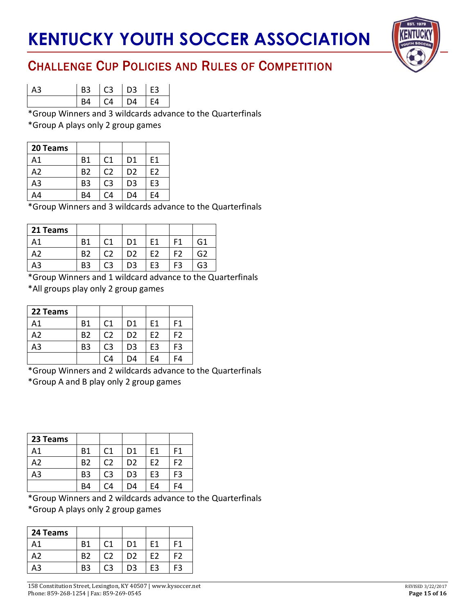

| A3 | <b>B3</b> |                         | C3 D3 E3 |      |
|----|-----------|-------------------------|----------|------|
|    | R4        | $\lfloor CA \rfloor$ D4 |          | l F4 |

\*Group Winners and 3 wildcards advance to the Quarterfinals \*Group A plays only 2 group games

| 20 Teams |                |               |                |                |
|----------|----------------|---------------|----------------|----------------|
| Α1       | Β1             | C1            | D1             | E1             |
| А2       | B <sub>2</sub> | C2            | D <sub>2</sub> | E <sub>2</sub> |
| A3       | B <sub>3</sub> | C3            | D <sub>3</sub> | E3             |
| Δ4       | B4             | $\mathsf{C}4$ | D4             | F4             |

\*Group Winners and 3 wildcards advance to the Quarterfinals

| 21 Teams |                |                   |    |    |    |                |
|----------|----------------|-------------------|----|----|----|----------------|
| Δ1       | R <sub>1</sub> | $\mathsf{\Gamma}$ | D1 | F1 | F1 | G1             |
| ハフ       | B <sub>2</sub> | റാ                | D2 | F2 | F2 | G <sub>2</sub> |
| A3       | B3             | C3                | D3 | E3 | F3 | G3             |

\*Group Winners and 1 wildcard advance to the Quarterfinals

\*All groups play only 2 group games

| 22 Teams |           |                |                |    |    |
|----------|-----------|----------------|----------------|----|----|
| A1       | Β1        | C <sub>1</sub> | D <sub>1</sub> | F1 | F1 |
| A2       | <b>B2</b> | C2             | D <sub>2</sub> | E2 | F2 |
| A3       | B3        | C <sub>3</sub> | D <sub>3</sub> | E3 | F3 |
|          |           | C4             | D4             | E4 | F4 |

\*Group Winners and 2 wildcards advance to the Quarterfinals

\*Group A and B play only 2 group games

| 23 Teams       |                |                |                |    |    |
|----------------|----------------|----------------|----------------|----|----|
| A <sub>1</sub> | <b>B1</b>      | C1             | D1             | F1 | F1 |
| A <sub>2</sub> | B <sub>2</sub> | C <sub>2</sub> | D <sub>2</sub> | E2 | F2 |
| A3             | B <sub>3</sub> | C <sub>3</sub> | D <sub>3</sub> | E3 | F3 |
|                | B4             | C4             | D4             | F4 | -4 |

\*Group Winners and 2 wildcards advance to the Quarterfinals

\*Group A plays only 2 group games

| 24 Teams |    |    |    |     |
|----------|----|----|----|-----|
| А1       | R1 | D1 | F1 | F1  |
| A2.      | R2 | D2 | F2 | F2  |
|          | B3 | D3 | F٩ | ่≓3 |